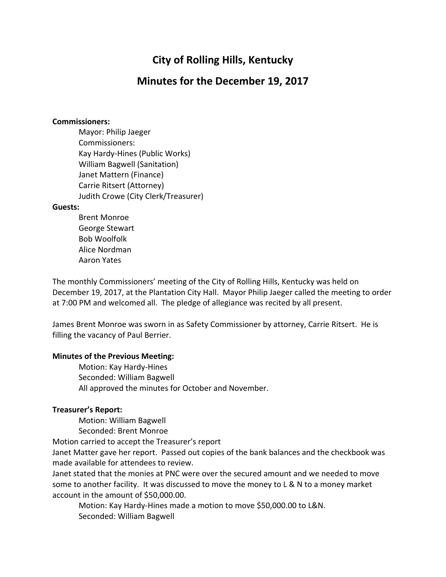# **City of Rolling Hills, Kentucky**

## **Minutes for the December 19, 2017**

#### **Commissioners:**

Mayor: Philip Jaeger Commissioners: Kay Hardy-Hines (Public Works) William Bagwell (Sanitation) Janet Mattern (Finance) Carrie Ritsert (Attorney) Judith Crowe (City Clerk/Treasurer)

#### **Guests:**

Brent Monroe George Stewart Bob Woolfolk Alice Nordman Aaron Yates

The monthly Commissioners' meeting of the City of Rolling Hills, Kentucky was held on December 19, 2017, at the Plantation City Hall. Mayor Philip Jaeger called the meeting to order at 7:00 PM and welcomed all. The pledge of allegiance was recited by all present.

James Brent Monroe was sworn in as Safety Commissioner by attorney, Carrie Ritsert. He is filling the vacancy of Paul Berrier.

#### **Minutes of the Previous Meeting:**

Motion: Kay Hardy-Hines Seconded: William Bagwell All approved the minutes for October and November.

#### **Treasurer's Report:**

Motion: William Bagwell

Seconded: Brent Monroe

Motion carried to accept the Treasurer's report

Janet Matter gave her report. Passed out copies of the bank balances and the checkbook was made available for attendees to review.

Janet stated that the monies at PNC were over the secured amount and we needed to move some to another facility. It was discussed to move the money to L & N to a money market account in the amount of \$50,000.00.

Motion: Kay Hardy-Hines made a motion to move \$50,000.00 to L&N. Seconded: William Bagwell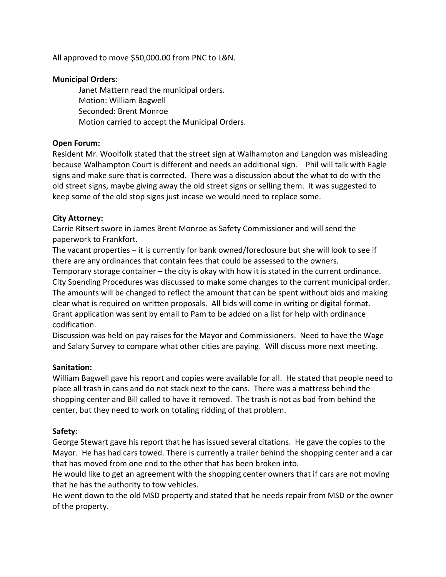All approved to move \$50,000.00 from PNC to L&N.

#### **Municipal Orders:**

Janet Mattern read the municipal orders. Motion: William Bagwell Seconded: Brent Monroe Motion carried to accept the Municipal Orders.

## **Open Forum:**

Resident Mr. Woolfolk stated that the street sign at Walhampton and Langdon was misleading because Walhampton Court is different and needs an additional sign. Phil will talk with Eagle signs and make sure that is corrected. There was a discussion about the what to do with the old street signs, maybe giving away the old street signs or selling them. It was suggested to keep some of the old stop signs just incase we would need to replace some.

## **City Attorney:**

Carrie Ritsert swore in James Brent Monroe as Safety Commissioner and will send the paperwork to Frankfort.

The vacant properties – it is currently for bank owned/foreclosure but she will look to see if there are any ordinances that contain fees that could be assessed to the owners.

Temporary storage container – the city is okay with how it is stated in the current ordinance. City Spending Procedures was discussed to make some changes to the current municipal order. The amounts will be changed to reflect the amount that can be spent without bids and making clear what is required on written proposals. All bids will come in writing or digital format. Grant application was sent by email to Pam to be added on a list for help with ordinance codification.

Discussion was held on pay raises for the Mayor and Commissioners. Need to have the Wage and Salary Survey to compare what other cities are paying. Will discuss more next meeting.

#### **Sanitation:**

William Bagwell gave his report and copies were available for all. He stated that people need to place all trash in cans and do not stack next to the cans. There was a mattress behind the shopping center and Bill called to have it removed. The trash is not as bad from behind the center, but they need to work on totaling ridding of that problem.

## **Safety:**

George Stewart gave his report that he has issued several citations. He gave the copies to the Mayor. He has had cars towed. There is currently a trailer behind the shopping center and a car that has moved from one end to the other that has been broken into.

He would like to get an agreement with the shopping center owners that if cars are not moving that he has the authority to tow vehicles.

He went down to the old MSD property and stated that he needs repair from MSD or the owner of the property.